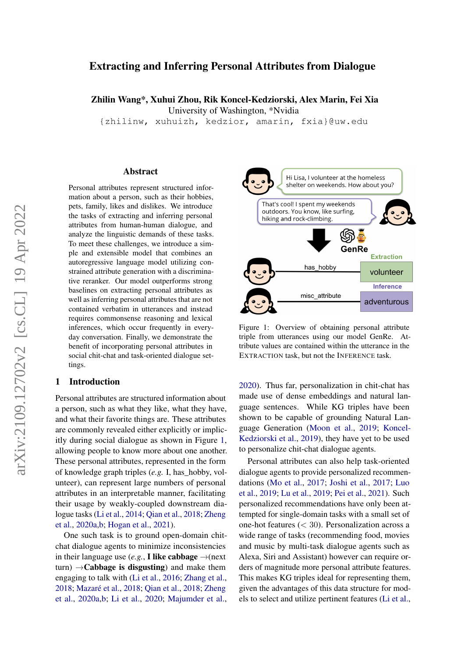# Extracting and Inferring Personal Attributes from Dialogue

Zhilin Wang\*, Xuhui Zhou, Rik Koncel-Kedziorski, Alex Marin, Fei Xia

University of Washington, \*Nvidia

{zhilinw, xuhuizh, kedzior, amarin, fxia}@uw.edu

#### Abstract

Personal attributes represent structured information about a person, such as their hobbies, pets, family, likes and dislikes. We introduce the tasks of extracting and inferring personal attributes from human-human dialogue, and analyze the linguistic demands of these tasks. To meet these challenges, we introduce a simple and extensible model that combines an autoregressive language model utilizing constrained attribute generation with a discriminative reranker. Our model outperforms strong baselines on extracting personal attributes as well as inferring personal attributes that are not contained verbatim in utterances and instead requires commonsense reasoning and lexical inferences, which occur frequently in everyday conversation. Finally, we demonstrate the benefit of incorporating personal attributes in social chit-chat and task-oriented dialogue settings.

## 1 Introduction

Personal attributes are structured information about a person, such as what they like, what they have, and what their favorite things are. These attributes are commonly revealed either explicitly or implicitly during social dialogue as shown in Figure [1,](#page-0-0) allowing people to know more about one another. These personal attributes, represented in the form of knowledge graph triples (*e.g.* I, has\_hobby, volunteer), can represent large numbers of personal attributes in an interpretable manner, facilitating their usage by weakly-coupled downstream dialogue tasks [\(Li et al.,](#page-8-0) [2014;](#page-8-0) [Qian et al.,](#page-9-0) [2018;](#page-9-0) [Zheng](#page-10-0) [et al.,](#page-10-0) [2020a](#page-10-0)[,b;](#page-10-1) [Hogan et al.,](#page-8-1) [2021\)](#page-8-1).

One such task is to ground open-domain chitchat dialogue agents to minimize inconsistencies in their language use (*e.g.*, **I like cabbage**  $\rightarrow$ (next turn)  $\rightarrow$ **Cabbage is disgusting**) and make them engaging to talk with [\(Li et al.,](#page-8-2) [2016;](#page-8-2) [Zhang et al.,](#page-10-2) [2018;](#page-10-2) [Mazaré et al.,](#page-9-1) [2018;](#page-9-1) [Qian et al.,](#page-9-0) [2018;](#page-9-0) [Zheng](#page-10-0) [et al.,](#page-10-0) [2020a](#page-10-0)[,b;](#page-10-1) [Li et al.,](#page-8-3) [2020;](#page-8-3) [Majumder et al.,](#page-8-4)

<span id="page-0-0"></span>

Figure 1: Overview of obtaining personal attribute triple from utterances using our model GenRe. Attribute values are contained within the utterance in the EXTRACTION task, but not the INFERENCE task.

[2020\)](#page-8-4). Thus far, personalization in chit-chat has made use of dense embeddings and natural language sentences. While KG triples have been shown to be capable of grounding Natural Language Generation [\(Moon et al.,](#page-9-2) [2019;](#page-9-2) [Koncel-](#page-8-5)[Kedziorski et al.,](#page-8-5) [2019\)](#page-8-5), they have yet to be used to personalize chit-chat dialogue agents.

Personal attributes can also help task-oriented dialogue agents to provide personalized recommendations [\(Mo et al.,](#page-9-3) [2017;](#page-9-3) [Joshi et al.,](#page-8-6) [2017;](#page-8-6) [Luo](#page-8-7) [et al.,](#page-8-7) [2019;](#page-8-7) [Lu et al.,](#page-8-8) [2019;](#page-8-8) [Pei et al.,](#page-9-4) [2021\)](#page-9-4). Such personalized recommendations have only been attempted for single-domain tasks with a small set of one-hot features  $( $30$ ). Personalization across a$ wide range of tasks (recommending food, movies and music by multi-task dialogue agents such as Alexa, Siri and Assistant) however can require orders of magnitude more personal attribute features. This makes KG triples ideal for representing them, given the advantages of this data structure for models to select and utilize pertinent features [\(Li et al.,](#page-8-0)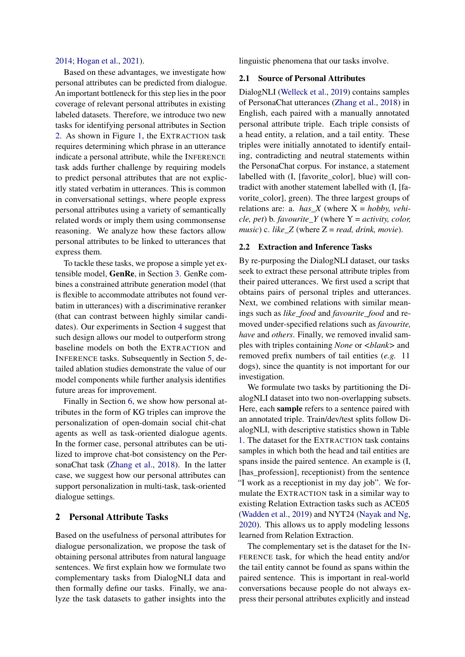#### [2014;](#page-8-0) [Hogan et al.,](#page-8-1) [2021\)](#page-8-1).

Based on these advantages, we investigate how personal attributes can be predicted from dialogue. An important bottleneck for this step lies in the poor coverage of relevant personal attributes in existing labeled datasets. Therefore, we introduce two new tasks for identifying personal attributes in Section [2.](#page-1-0) As shown in Figure [1,](#page-0-0) the EXTRACTION task requires determining which phrase in an utterance indicate a personal attribute, while the INFERENCE task adds further challenge by requiring models to predict personal attributes that are not explicitly stated verbatim in utterances. This is common in conversational settings, where people express personal attributes using a variety of semantically related words or imply them using commonsense reasoning. We analyze how these factors allow personal attributes to be linked to utterances that express them.

To tackle these tasks, we propose a simple yet extensible model, GenRe, in Section [3.](#page-3-0) GenRe combines a constrained attribute generation model (that is flexible to accommodate attributes not found verbatim in utterances) with a discriminative reranker (that can contrast between highly similar candidates). Our experiments in Section [4](#page-4-0) suggest that such design allows our model to outperform strong baseline models on both the EXTRACTION and INFERENCE tasks. Subsequently in Section [5,](#page-5-0) detailed ablation studies demonstrate the value of our model components while further analysis identifies future areas for improvement.

Finally in Section [6,](#page-5-1) we show how personal attributes in the form of KG triples can improve the personalization of open-domain social chit-chat agents as well as task-oriented dialogue agents. In the former case, personal attributes can be utilized to improve chat-bot consistency on the PersonaChat task [\(Zhang et al.,](#page-10-2) [2018\)](#page-10-2). In the latter case, we suggest how our personal attributes can support personalization in multi-task, task-oriented dialogue settings.

## <span id="page-1-0"></span>2 Personal Attribute Tasks

Based on the usefulness of personal attributes for dialogue personalization, we propose the task of obtaining personal attributes from natural language sentences. We first explain how we formulate two complementary tasks from DialogNLI data and then formally define our tasks. Finally, we analyze the task datasets to gather insights into the

linguistic phenomena that our tasks involve.

#### 2.1 Source of Personal Attributes

DialogNLI [\(Welleck et al.,](#page-9-5) [2019\)](#page-9-5) contains samples of PersonaChat utterances [\(Zhang et al.,](#page-10-2) [2018\)](#page-10-2) in English, each paired with a manually annotated personal attribute triple. Each triple consists of a head entity, a relation, and a tail entity. These triples were initially annotated to identify entailing, contradicting and neutral statements within the PersonaChat corpus. For instance, a statement labelled with (I, [favorite\_color], blue) will contradict with another statement labelled with (I, [favorite\_color], green). The three largest groups of relations are: a.  $has\_X$  (where  $X = hobby$ , *vehicle, pet*) b. *favourite\_Y* (where Y = *activity, color, music*) c. *like\_Z* (where  $Z = read$ , *drink*, *movie*).

#### <span id="page-1-1"></span>2.2 Extraction and Inference Tasks

By re-purposing the DialogNLI dataset, our tasks seek to extract these personal attribute triples from their paired utterances. We first used a script that obtains pairs of personal triples and utterances. Next, we combined relations with similar meanings such as *like\_food* and *favourite\_food* and removed under-specified relations such as *favourite, have* and *others*. Finally, we removed invalid samples with triples containing *None* or *<blank>* and removed prefix numbers of tail entities (*e.g.* 11 dogs), since the quantity is not important for our investigation.

We formulate two tasks by partitioning the DialogNLI dataset into two non-overlapping subsets. Here, each sample refers to a sentence paired with an annotated triple. Train/dev/test splits follow DialogNLI, with descriptive statistics shown in Table [1.](#page-2-0) The dataset for the EXTRACTION task contains samples in which both the head and tail entities are spans inside the paired sentence. An example is (I, [has\_profession], receptionist) from the sentence "I work as a receptionist in my day job". We formulate the EXTRACTION task in a similar way to existing Relation Extraction tasks such as ACE05 [\(Wadden et al.,](#page-9-6) [2019\)](#page-9-6) and NYT24 [\(Nayak and Ng,](#page-9-7) [2020\)](#page-9-7). This allows us to apply modeling lessons learned from Relation Extraction.

The complementary set is the dataset for the IN-FERENCE task, for which the head entity and/or the tail entity cannot be found as spans within the paired sentence. This is important in real-world conversations because people do not always express their personal attributes explicitly and instead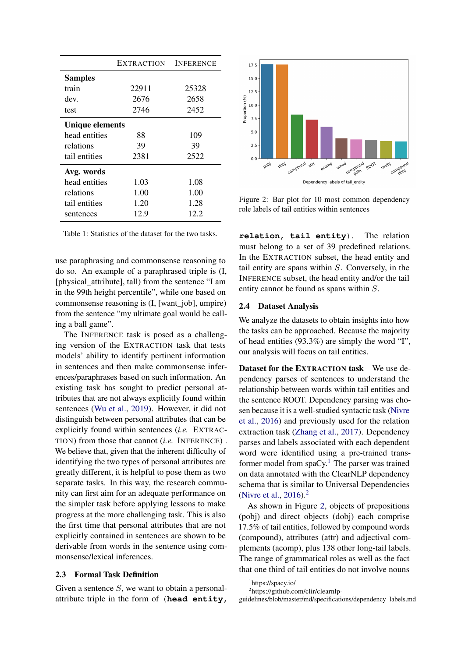<span id="page-2-0"></span>

|                        | <b>EXTRACTION</b> | <b>INFERENCE</b> |
|------------------------|-------------------|------------------|
| <b>Samples</b>         |                   |                  |
| train                  | 22911             | 25328            |
| dev.                   | 2676              | 2658             |
| test                   | 2746              | 2452             |
| <b>Unique elements</b> |                   |                  |
| head entities          | 88                | 109              |
| relations              | 39                | 39               |
| tail entities          | 2381              | 2522             |
| Avg. words             |                   |                  |
| head entities          | 1.03              | 1.08             |
| relations              | 1.00              | 1.00             |
| tail entities          | 1.20              | 1.28             |
| sentences              | 12.9              | 12.2             |

Table 1: Statistics of the dataset for the two tasks.

use paraphrasing and commonsense reasoning to do so. An example of a paraphrased triple is (I, [physical\_attribute], tall) from the sentence "I am in the 99th height percentile", while one based on commonsense reasoning is (I, [want\_job], umpire) from the sentence "my ultimate goal would be calling a ball game".

The INFERENCE task is posed as a challenging version of the EXTRACTION task that tests models' ability to identify pertinent information in sentences and then make commonsense inferences/paraphrases based on such information. An existing task has sought to predict personal attributes that are not always explicitly found within sentences [\(Wu et al.,](#page-10-3) [2019\)](#page-10-3). However, it did not distinguish between personal attributes that can be explicitly found within sentences (*i.e.* EXTRAC-TION) from those that cannot (*i.e.* INFERENCE) . We believe that, given that the inherent difficulty of identifying the two types of personal attributes are greatly different, it is helpful to pose them as two separate tasks. In this way, the research community can first aim for an adequate performance on the simpler task before applying lessons to make progress at the more challenging task. This is also the first time that personal attributes that are not explicitly contained in sentences are shown to be derivable from words in the sentence using commonsense/lexical inferences.

## 2.3 Formal Task Definition

Given a sentence  $S$ , we want to obtain a personalattribute triple in the form of (**head entity,**

<span id="page-2-3"></span>

Figure 2: Bar plot for 10 most common dependency role labels of tail entities within sentences

**relation, tail entity**). The relation must belong to a set of 39 predefined relations. In the EXTRACTION subset, the head entity and tail entity are spans within S. Conversely, in the INFERENCE subset, the head entity and/or the tail entity cannot be found as spans within S.

#### 2.4 Dataset Analysis

We analyze the datasets to obtain insights into how the tasks can be approached. Because the majority of head entities (93.3%) are simply the word "I", our analysis will focus on tail entities.

Dataset for the EXTRACTION task We use dependency parses of sentences to understand the relationship between words within tail entities and the sentence ROOT. Dependency parsing was chosen because it is a well-studied syntactic task [\(Nivre](#page-9-8) [et al.,](#page-9-8) [2016\)](#page-9-8) and previously used for the relation extraction task [\(Zhang et al.,](#page-10-4) [2017\)](#page-10-4). Dependency parses and labels associated with each dependent word were identified using a pre-trained transformer model from  $spaCy$ .<sup>[1](#page-2-1)</sup> The parser was trained on data annotated with the ClearNLP dependency schema that is similar to Universal Dependencies [\(Nivre et al.,](#page-9-8) [2016\)](#page-9-8).[2](#page-2-2)

As shown in Figure [2,](#page-2-3) objects of prepositions (pobj) and direct objects (dobj) each comprise 17.5% of tail entities, followed by compound words (compound), attributes (attr) and adjectival complements (acomp), plus 138 other long-tail labels. The range of grammatical roles as well as the fact that one third of tail entities do not involve nouns

<span id="page-2-1"></span><sup>1</sup> https://spacy.io/

<span id="page-2-2"></span><sup>2</sup> https://github.com/clir/clearnlp-

guidelines/blob/master/md/specifications/dependency\_labels.md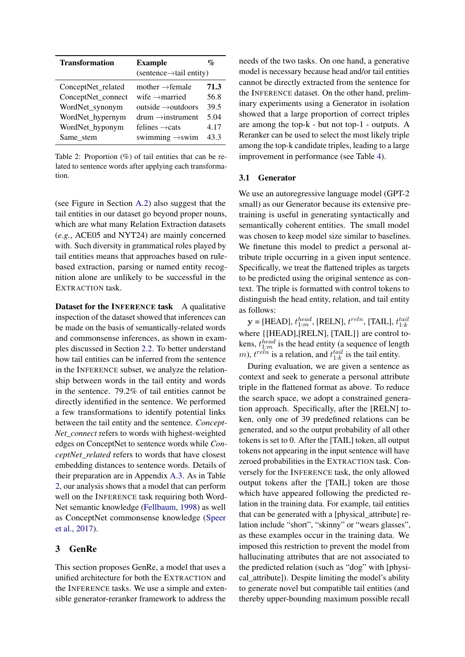<span id="page-3-1"></span>

| <b>Transformation</b> | <b>Example</b>                       | $\mathcal{O}_\mathcal{D}$ |
|-----------------------|--------------------------------------|---------------------------|
|                       | $(sentence \rightarrow tail entity)$ |                           |
| ConceptNet_related    | mother $\rightarrow$ female          | 71.3                      |
| ConceptNet_connect    | wife $\rightarrow$ married           | 56.8                      |
| WordNet_synonym       | outside $\rightarrow$ outdoors       | 39.5                      |
| WordNet_hypernym      | $drum \rightarrow$ instrument        | 5.04                      |
| WordNet_hyponym       | felines $\rightarrow$ cats           | 4.17                      |
| Same_stem             | swimming $\rightarrow$ swim          | 43.3                      |

Table 2: Proportion  $(\%)$  of tail entities that can be related to sentence words after applying each transformation.

(see Figure in Section [A.2\)](#page-11-0) also suggest that the tail entities in our dataset go beyond proper nouns, which are what many Relation Extraction datasets (*e.g.*, ACE05 and NYT24) are mainly concerned with. Such diversity in grammatical roles played by tail entities means that approaches based on rulebased extraction, parsing or named entity recognition alone are unlikely to be successful in the EXTRACTION task.

Dataset for the INFERENCE task A qualitative inspection of the dataset showed that inferences can be made on the basis of semantically-related words and commonsense inferences, as shown in examples discussed in Section [2.2.](#page-1-1) To better understand how tail entities can be inferred from the sentence in the INFERENCE subset, we analyze the relationship between words in the tail entity and words in the sentence. 79.2% of tail entities cannot be directly identified in the sentence. We performed a few transformations to identify potential links between the tail entity and the sentence. *Concept-Net\_connect* refers to words with highest-weighted edges on ConceptNet to sentence words while *ConceptNet\_related* refers to words that have closest embedding distances to sentence words. Details of their preparation are in Appendix [A.3.](#page-11-1) As in Table [2,](#page-3-1) our analysis shows that a model that can perform well on the INFERENCE task requiring both Word-Net semantic knowledge [\(Fellbaum,](#page-8-9) [1998\)](#page-8-9) as well as ConceptNet commonsense knowledge [\(Speer](#page-9-9) [et al.,](#page-9-9) [2017\)](#page-9-9).

# <span id="page-3-0"></span>3 GenRe

This section proposes GenRe, a model that uses a unified architecture for both the EXTRACTION and the INFERENCE tasks. We use a simple and extensible generator-reranker framework to address the

needs of the two tasks. On one hand, a generative model is necessary because head and/or tail entities cannot be directly extracted from the sentence for the INFERENCE dataset. On the other hand, preliminary experiments using a Generator in isolation showed that a large proportion of correct triples are among the top-k - but not top-1 - outputs. A Reranker can be used to select the most likely triple among the top-k candidate triples, leading to a large improvement in performance (see Table [4\)](#page-5-2).

#### 3.1 Generator

We use an autoregressive language model (GPT-2 small) as our Generator because its extensive pretraining is useful in generating syntactically and semantically coherent entities. The small model was chosen to keep model size similar to baselines. We finetune this model to predict a personal attribute triple occurring in a given input sentence. Specifically, we treat the flattened triples as targets to be predicted using the original sentence as context. The triple is formatted with control tokens to distinguish the head entity, relation, and tail entity as follows:

 $\mathbf{y} =$  [HEAD],  $t_{1:m}^{head}$ , [RELN],  $t^{relu}$ , [TAIL],  $t_{1:k}^{tail}$ where {[HEAD],[RELN], [TAIL]} are control tokens,  $t_{1:m}^{head}$  is the head entity (a sequence of length *m*),  $t^{reln}$  is a relation, and  $t^{tail}_{1:k}$  is the tail entity.

During evaluation, we are given a sentence as context and seek to generate a personal attribute triple in the flattened format as above. To reduce the search space, we adopt a constrained generation approach. Specifically, after the [RELN] token, only one of 39 predefined relations can be generated, and so the output probability of all other tokens is set to 0. After the [TAIL] token, all output tokens not appearing in the input sentence will have zeroed probabilities in the EXTRACTION task. Conversely for the INFERENCE task, the only allowed output tokens after the [TAIL] token are those which have appeared following the predicted relation in the training data. For example, tail entities that can be generated with a [physical\_attribute] relation include "short", "skinny" or "wears glasses", as these examples occur in the training data. We imposed this restriction to prevent the model from hallucinating attributes that are not associated to the predicted relation (such as "dog" with [physical\_attribute]). Despite limiting the model's ability to generate novel but compatible tail entities (and thereby upper-bounding maximum possible recall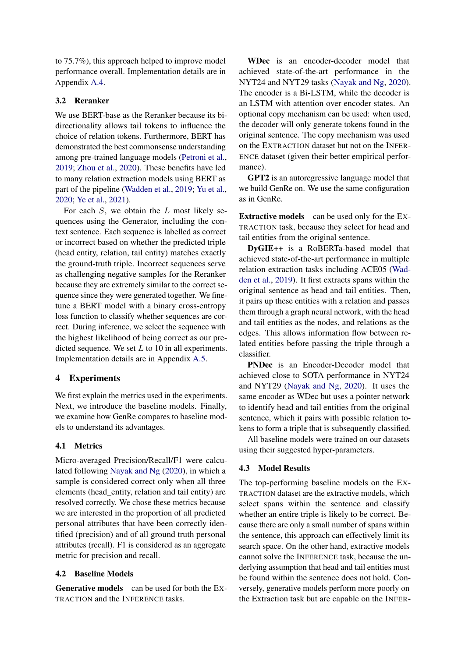to 75.7%), this approach helped to improve model performance overall. Implementation details are in Appendix [A.4.](#page-11-2)

# 3.2 Reranker

We use BERT-base as the Reranker because its bidirectionality allows tail tokens to influence the choice of relation tokens. Furthermore, BERT has demonstrated the best commonsense understanding among pre-trained language models [\(Petroni et al.,](#page-9-10) [2019;](#page-9-10) [Zhou et al.,](#page-10-5) [2020\)](#page-10-5). These benefits have led to many relation extraction models using BERT as part of the pipeline [\(Wadden et al.,](#page-9-6) [2019;](#page-9-6) [Yu et al.,](#page-10-6) [2020;](#page-10-6) [Ye et al.,](#page-10-7) [2021\)](#page-10-7).

For each  $S$ , we obtain the  $L$  most likely sequences using the Generator, including the context sentence. Each sequence is labelled as correct or incorrect based on whether the predicted triple (head entity, relation, tail entity) matches exactly the ground-truth triple. Incorrect sequences serve as challenging negative samples for the Reranker because they are extremely similar to the correct sequence since they were generated together. We finetune a BERT model with a binary cross-entropy loss function to classify whether sequences are correct. During inference, we select the sequence with the highest likelihood of being correct as our predicted sequence. We set  $L$  to 10 in all experiments. Implementation details are in Appendix [A.5.](#page-11-3)

# <span id="page-4-0"></span>4 Experiments

We first explain the metrics used in the experiments. Next, we introduce the baseline models. Finally, we examine how GenRe compares to baseline models to understand its advantages.

### 4.1 Metrics

Micro-averaged Precision/Recall/F1 were calculated following [Nayak and Ng](#page-9-7) [\(2020\)](#page-9-7), in which a sample is considered correct only when all three elements (head\_entity, relation and tail entity) are resolved correctly. We chose these metrics because we are interested in the proportion of all predicted personal attributes that have been correctly identified (precision) and of all ground truth personal attributes (recall). F1 is considered as an aggregate metric for precision and recall.

### 4.2 Baseline Models

Generative models can be used for both the EX-TRACTION and the INFERENCE tasks.

WDec is an encoder-decoder model that achieved state-of-the-art performance in the NYT24 and NYT29 tasks [\(Nayak and Ng,](#page-9-7) [2020\)](#page-9-7). The encoder is a Bi-LSTM, while the decoder is an LSTM with attention over encoder states. An optional copy mechanism can be used: when used, the decoder will only generate tokens found in the original sentence. The copy mechanism was used on the EXTRACTION dataset but not on the INFER-ENCE dataset (given their better empirical performance).

GPT2 is an autoregressive language model that we build GenRe on. We use the same configuration as in GenRe.

Extractive models can be used only for the EX-TRACTION task, because they select for head and tail entities from the original sentence.

DyGIE++ is a RoBERTa-based model that achieved state-of-the-art performance in multiple relation extraction tasks including ACE05 [\(Wad](#page-9-6)[den et al.,](#page-9-6) [2019\)](#page-9-6). It first extracts spans within the original sentence as head and tail entities. Then, it pairs up these entities with a relation and passes them through a graph neural network, with the head and tail entities as the nodes, and relations as the edges. This allows information flow between related entities before passing the triple through a classifier.

PNDec is an Encoder-Decoder model that achieved close to SOTA performance in NYT24 and NYT29 [\(Nayak and Ng,](#page-9-7) [2020\)](#page-9-7). It uses the same encoder as WDec but uses a pointer network to identify head and tail entities from the original sentence, which it pairs with possible relation tokens to form a triple that is subsequently classified.

All baseline models were trained on our datasets using their suggested hyper-parameters.

### 4.3 Model Results

The top-performing baseline models on the EX-TRACTION dataset are the extractive models, which select spans within the sentence and classify whether an entire triple is likely to be correct. Because there are only a small number of spans within the sentence, this approach can effectively limit its search space. On the other hand, extractive models cannot solve the INFERENCE task, because the underlying assumption that head and tail entities must be found within the sentence does not hold. Conversely, generative models perform more poorly on the Extraction task but are capable on the INFER-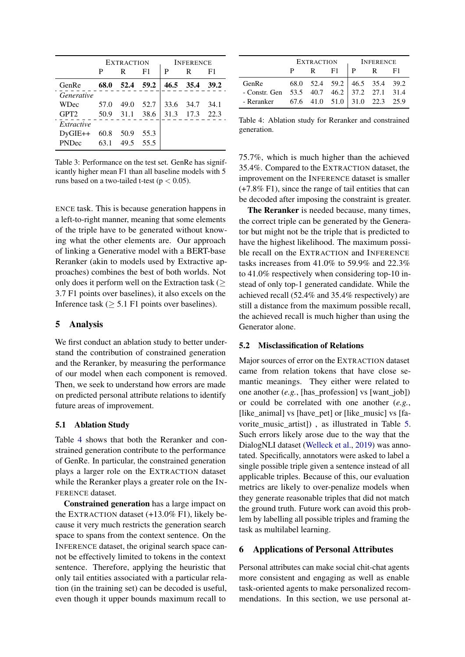|                  |      | <b>EXTRACTION</b> |        |      | <b>INFERENCE</b> |      |
|------------------|------|-------------------|--------|------|------------------|------|
|                  | P    | R                 | F1     | P    | R                | F1   |
| <b>GenRe</b>     | 68.0 | 52.4 59.2         |        |      | 46.5 35.4        | 39.2 |
| Generative       |      |                   |        |      |                  |      |
| WDec             | 57.0 | 49.0              | 52.7   | 33.6 | 34.7             | 34.1 |
| GPT <sub>2</sub> | 50.9 | 31.1              | - 38.6 |      | 31.3 17.3        | 22.3 |
| Extractive       |      |                   |        |      |                  |      |
| $DVGIE++$        | 60.8 | 50.9              | 55.3   |      |                  |      |
| <b>PNDec</b>     | 63.1 | 49.5              | 55.5   |      |                  |      |

Table 3: Performance on the test set. GenRe has significantly higher mean F1 than all baseline models with 5 runs based on a two-tailed t-test ( $p < 0.05$ ).

ENCE task. This is because generation happens in a left-to-right manner, meaning that some elements of the triple have to be generated without knowing what the other elements are. Our approach of linking a Generative model with a BERT-base Reranker (akin to models used by Extractive approaches) combines the best of both worlds. Not only does it perform well on the Extraction task ( $\geq$ 3.7 F1 points over baselines), it also excels on the Inference task ( $\geq$  5.1 F1 points over baselines).

## <span id="page-5-0"></span>5 Analysis

We first conduct an ablation study to better understand the contribution of constrained generation and the Reranker, by measuring the performance of our model when each component is removed. Then, we seek to understand how errors are made on predicted personal attribute relations to identify future areas of improvement.

## 5.1 Ablation Study

Table [4](#page-5-2) shows that both the Reranker and constrained generation contribute to the performance of GenRe. In particular, the constrained generation plays a larger role on the EXTRACTION dataset while the Reranker plays a greater role on the IN-FERENCE dataset.

Constrained generation has a large impact on the EXTRACTION dataset (+13.0% F1), likely because it very much restricts the generation search space to spans from the context sentence. On the INFERENCE dataset, the original search space cannot be effectively limited to tokens in the context sentence. Therefore, applying the heuristic that only tail entities associated with a particular relation (in the training set) can be decoded is useful, even though it upper bounds maximum recall to

<span id="page-5-2"></span>

|                                                                                                                                | EXTRACTION   INFERENCE |          |  |  |                 |  |
|--------------------------------------------------------------------------------------------------------------------------------|------------------------|----------|--|--|-----------------|--|
|                                                                                                                                |                        | $P$ R F1 |  |  | $ P \t R \t F1$ |  |
|                                                                                                                                |                        |          |  |  |                 |  |
|                                                                                                                                |                        |          |  |  |                 |  |
| GenRe 68.0 52.4 59.2 46.5 35.4 39.2<br>- Constr. Gen 53.5 40.7 46.2 37.2 27.1 31.4<br>- Reranker 67.6 41.0 51.0 31.0 22.3 25.9 |                        |          |  |  |                 |  |

Table 4: Ablation study for Reranker and constrained generation.

75.7%, which is much higher than the achieved 35.4%. Compared to the EXTRACTION dataset, the improvement on the INFERENCE dataset is smaller (+7.8% F1), since the range of tail entities that can be decoded after imposing the constraint is greater.

The Reranker is needed because, many times, the correct triple can be generated by the Generator but might not be the triple that is predicted to have the highest likelihood. The maximum possible recall on the EXTRACTION and INFERENCE tasks increases from 41.0% to 59.9% and 22.3% to 41.0% respectively when considering top-10 instead of only top-1 generated candidate. While the achieved recall (52.4% and 35.4% respectively) are still a distance from the maximum possible recall, the achieved recall is much higher than using the Generator alone.

### 5.2 Misclassification of Relations

Major sources of error on the EXTRACTION dataset came from relation tokens that have close semantic meanings. They either were related to one another (*e.g.*, [has\_profession] vs [want\_job]) or could be correlated with one another (*e.g.*, [like\_animal] vs [have\_pet] or [like\_music] vs [favorite\_music\_artist]) , as illustrated in Table [5.](#page-6-0) Such errors likely arose due to the way that the DialogNLI dataset [\(Welleck et al.,](#page-9-5) [2019\)](#page-9-5) was annotated. Specifically, annotators were asked to label a single possible triple given a sentence instead of all applicable triples. Because of this, our evaluation metrics are likely to over-penalize models when they generate reasonable triples that did not match the ground truth. Future work can avoid this problem by labelling all possible triples and framing the task as multilabel learning.

#### <span id="page-5-1"></span>6 Applications of Personal Attributes

Personal attributes can make social chit-chat agents more consistent and engaging as well as enable task-oriented agents to make personalized recommendations. In this section, we use personal at-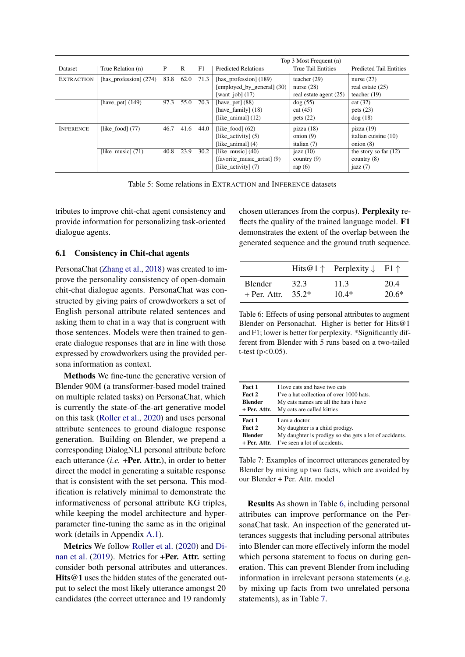<span id="page-6-0"></span>

|                   |                          |      |      |      |                             | Top 3 Most Frequent (n)   |                                |
|-------------------|--------------------------|------|------|------|-----------------------------|---------------------------|--------------------------------|
| <b>Dataset</b>    | True Relation (n)        | P    | R    | F1   | <b>Predicted Relations</b>  | <b>True Tail Entities</b> | <b>Predicted Tail Entities</b> |
| <b>EXTRACTION</b> | [has_profession] $(274)$ | 83.8 | 62.0 | 71.3 | [has_profession] (189)      | teacher $(29)$            | nurse $(27)$                   |
|                   |                          |      |      |      | [employed_by_general] (30)  | nurse $(28)$              | real estate $(25)$             |
|                   |                          |      |      |      | [want_job] $(17)$           | real estate agent (25)    | teacher $(19)$                 |
|                   | [have_pet] $(149)$       | 97.3 | 55.0 | 70.3 | [have_pet] $(88)$           | $\log(55)$                | cat (32)                       |
|                   |                          |      |      |      | [have_family] $(18)$        | cat(45)                   | pets $(23)$                    |
|                   |                          |      |      |      | [like animal] $(12)$        | pets $(22)$               | dog(18)                        |
| <b>INFERENCE</b>  | [like food] $(77)$       | 46.7 | 41.6 | 44.0 | [like food] $(62)$          | pizza(18)                 | pizza(19)                      |
|                   |                          |      |      |      | [like activity] $(5)$       | onion $(9)$               | italian cuisine (10)           |
|                   |                          |      |      |      | [like animal] $(4)$         | italian (7)               | onion $(8)$                    |
|                   | [like music] $(71)$      | 40.8 | 23.9 | 30.2 | [like music] $(40)$         | jazz $(10)$               | the story so far $(12)$        |
|                   |                          |      |      |      | [favorite music artist] (9) | country $(9)$             | country $(8)$                  |
|                   |                          |      |      |      | [like activity] $(7)$       | rap $(6)$                 | jazz $(7)$                     |

Table 5: Some relations in EXTRACTION and INFERENCE datasets

tributes to improve chit-chat agent consistency and provide information for personalizing task-oriented dialogue agents.

# 6.1 Consistency in Chit-chat agents

PersonaChat [\(Zhang et al.,](#page-10-2) [2018\)](#page-10-2) was created to improve the personality consistency of open-domain chit-chat dialogue agents. PersonaChat was constructed by giving pairs of crowdworkers a set of English personal attribute related sentences and asking them to chat in a way that is congruent with those sentences. Models were then trained to generate dialogue responses that are in line with those expressed by crowdworkers using the provided persona information as context.

Methods We fine-tune the generative version of Blender 90M (a transformer-based model trained on multiple related tasks) on PersonaChat, which is currently the state-of-the-art generative model on this task [\(Roller et al.,](#page-9-11) [2020\)](#page-9-11) and uses personal attribute sentences to ground dialogue response generation. Building on Blender, we prepend a corresponding DialogNLI personal attribute before each utterance (*i.e.* +Per. Attr.), in order to better direct the model in generating a suitable response that is consistent with the set persona. This modification is relatively minimal to demonstrate the informativeness of personal attribute KG triples, while keeping the model architecture and hyperparameter fine-tuning the same as in the original work (details in Appendix [A.1\)](#page-11-4).

Metrics We follow [Roller et al.](#page-9-11) [\(2020\)](#page-9-11) and [Di](#page-8-10)[nan et al.](#page-8-10) [\(2019\)](#page-8-10). Metrics for +Per. Attr. setting consider both personal attributes and utterances. Hits@1 uses the hidden states of the generated output to select the most likely utterance amongst 20 candidates (the correct utterance and 19 randomly

chosen utterances from the corpus). Perplexity reflects the quality of the trained language model. F1 demonstrates the extent of the overlap between the generated sequence and the ground truth sequence.

<span id="page-6-1"></span>

|                |         | Hits@1 $\uparrow$ Perplexity $\downarrow$ F1 $\uparrow$ |         |
|----------------|---------|---------------------------------------------------------|---------|
| <b>Blender</b> | 32.3    | 11.3                                                    | 20.4    |
| $+$ Per. Attr. | $35.2*$ | $10.4*$                                                 | $20.6*$ |

Table 6: Effects of using personal attributes to augment Blender on Personachat. Higher is better for Hits@1 and F1; lower is better for perplexity. \*Significantly different from Blender with 5 runs based on a two-tailed t-test  $(p<0.05)$ .

<span id="page-6-2"></span>

| Fact 1         | I love cats and have two cats                          |
|----------------|--------------------------------------------------------|
| Fact 2         | I've a hat collection of over 1000 hats.               |
| <b>Blender</b> | My cats names are all the hats i have                  |
| + Per. Attr.   | My cats are called kitties                             |
| Fact 1         | I am a doctor.                                         |
| Fact 2         | My daughter is a child prodigy.                        |
| <b>Blender</b> | My daughter is prodigy so she gets a lot of accidents. |
| + Per. Attr.   | I've seen a lot of accidents.                          |

Table 7: Examples of incorrect utterances generated by Blender by mixing up two facts, which are avoided by our Blender + Per. Attr. model

Results As shown in Table [6,](#page-6-1) including personal attributes can improve performance on the PersonaChat task. An inspection of the generated utterances suggests that including personal attributes into Blender can more effectively inform the model which persona statement to focus on during generation. This can prevent Blender from including information in irrelevant persona statements (*e.g.* by mixing up facts from two unrelated persona statements), as in Table [7.](#page-6-2)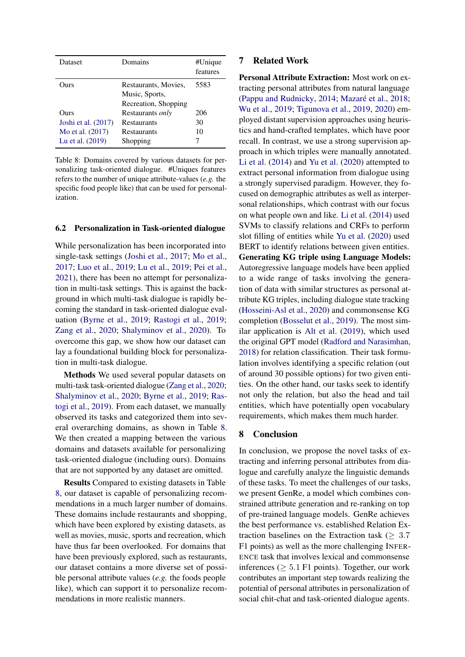<span id="page-7-0"></span>

| Dataset                              | Domains                                         | #Unique<br>features |
|--------------------------------------|-------------------------------------------------|---------------------|
| <b>Durs</b>                          | Restaurants, Movies,<br>Music, Sports,          | 5583                |
| Ours                                 | Recreation, Shopping<br>Restaurants <i>only</i> | 206                 |
| Joshi et al. (2017)                  | <b>Restaurants</b>                              | 30                  |
| Mo et al. (2017)<br>Lu et al. (2019) | Restaurants<br>Shopping                         | 10                  |

Table 8: Domains covered by various datasets for personalizing task-oriented dialogue. #Uniques features refers to the number of unique attribute-values (*e.g.* the specific food people like) that can be used for personalization.

#### 6.2 Personalization in Task-oriented dialogue

While personalization has been incorporated into single-task settings [\(Joshi et al.,](#page-8-6) [2017;](#page-8-6) [Mo et al.,](#page-9-3) [2017;](#page-9-3) [Luo et al.,](#page-8-7) [2019;](#page-8-7) [Lu et al.,](#page-8-8) [2019;](#page-8-8) [Pei et al.,](#page-9-4) [2021\)](#page-9-4), there has been no attempt for personalization in multi-task settings. This is against the background in which multi-task dialogue is rapidly becoming the standard in task-oriented dialogue evaluation [\(Byrne et al.,](#page-8-11) [2019;](#page-8-11) [Rastogi et al.,](#page-9-12) [2019;](#page-9-12) [Zang et al.,](#page-10-8) [2020;](#page-10-8) [Shalyminov et al.,](#page-9-13) [2020\)](#page-9-13). To overcome this gap, we show how our dataset can lay a foundational building block for personalization in multi-task dialogue.

Methods We used several popular datasets on multi-task task-oriented dialogue [\(Zang et al.,](#page-10-8) [2020;](#page-10-8) [Shalyminov et al.,](#page-9-13) [2020;](#page-9-13) [Byrne et al.,](#page-8-11) [2019;](#page-8-11) [Ras](#page-9-12)[togi et al.,](#page-9-12) [2019\)](#page-9-12). From each dataset, we manually observed its tasks and categorized them into several overarching domains, as shown in Table [8.](#page-7-0) We then created a mapping between the various domains and datasets available for personalizing task-oriented dialogue (including ours). Domains that are not supported by any dataset are omitted.

Results Compared to existing datasets in Table [8,](#page-7-0) our dataset is capable of personalizing recommendations in a much larger number of domains. These domains include restaurants and shopping, which have been explored by existing datasets, as well as movies, music, sports and recreation, which have thus far been overlooked. For domains that have been previously explored, such as restaurants, our dataset contains a more diverse set of possible personal attribute values (*e.g.* the foods people like), which can support it to personalize recommendations in more realistic manners.

# 7 Related Work

Personal Attribute Extraction: Most work on extracting personal attributes from natural language [\(Pappu and Rudnicky,](#page-9-14) [2014;](#page-9-14) [Mazaré et al.,](#page-9-1) [2018;](#page-9-1) [Wu et al.,](#page-10-3) [2019;](#page-10-3) [Tigunova et al.,](#page-9-15) [2019,](#page-9-15) [2020\)](#page-9-16) employed distant supervision approaches using heuristics and hand-crafted templates, which have poor recall. In contrast, we use a strong supervision approach in which triples were manually annotated. [Li et al.](#page-8-0) [\(2014\)](#page-8-0) and [Yu et al.](#page-10-6) [\(2020\)](#page-10-6) attempted to extract personal information from dialogue using a strongly supervised paradigm. However, they focused on demographic attributes as well as interpersonal relationships, which contrast with our focus on what people own and like. [Li et al.](#page-8-0) [\(2014\)](#page-8-0) used SVMs to classify relations and CRFs to perform slot filling of entities while [Yu et al.](#page-10-6) [\(2020\)](#page-10-6) used BERT to identify relations between given entities. Generating KG triple using Language Models: Autoregressive language models have been applied to a wide range of tasks involving the generation of data with similar structures as personal attribute KG triples, including dialogue state tracking [\(Hosseini-Asl et al.,](#page-8-12) [2020\)](#page-8-12) and commonsense KG completion [\(Bosselut et al.,](#page-8-13) [2019\)](#page-8-13). The most similar application is [Alt et al.](#page-8-14) [\(2019\)](#page-8-14), which used the original GPT model [\(Radford and Narasimhan,](#page-9-17) [2018\)](#page-9-17) for relation classification. Their task formulation involves identifying a specific relation (out of around 30 possible options) for two given entities. On the other hand, our tasks seek to identify not only the relation, but also the head and tail entities, which have potentially open vocabulary requirements, which makes them much harder.

### 8 Conclusion

In conclusion, we propose the novel tasks of extracting and inferring personal attributes from dialogue and carefully analyze the linguistic demands of these tasks. To meet the challenges of our tasks, we present GenRe, a model which combines constrained attribute generation and re-ranking on top of pre-trained language models. GenRe achieves the best performance vs. established Relation Extraction baselines on the Extraction task ( $\geq 3.7$ ) F1 points) as well as the more challenging INFER-ENCE task that involves lexical and commonsense inferences ( $\geq 5.1$  F1 points). Together, our work contributes an important step towards realizing the potential of personal attributes in personalization of social chit-chat and task-oriented dialogue agents.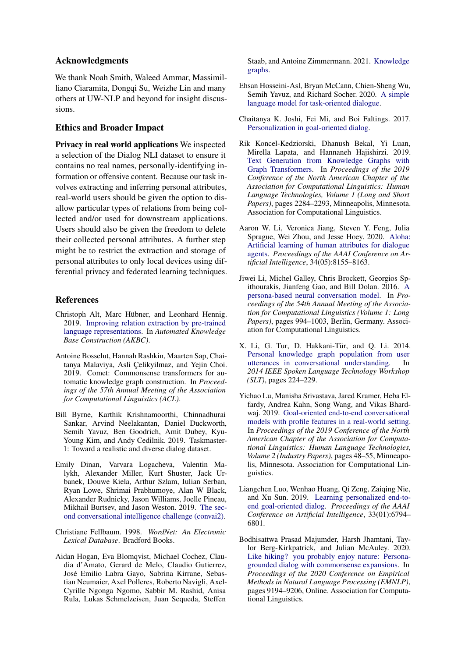## Acknowledgments

We thank Noah Smith, Waleed Ammar, Massimilliano Ciaramita, Dongqi Su, Weizhe Lin and many others at UW-NLP and beyond for insight discussions.

## Ethics and Broader Impact

Privacy in real world applications We inspected a selection of the Dialog NLI dataset to ensure it contains no real names, personally-identifying information or offensive content. Because our task involves extracting and inferring personal attributes, real-world users should be given the option to disallow particular types of relations from being collected and/or used for downstream applications. Users should also be given the freedom to delete their collected personal attributes. A further step might be to restrict the extraction and storage of personal attributes to only local devices using differential privacy and federated learning techniques.

### References

- <span id="page-8-14"></span>Christoph Alt, Marc Hübner, and Leonhard Hennig. 2019. [Improving relation extraction by pre-trained](https://openreview.net/forum?id=BJgrxbqp67) [language representations.](https://openreview.net/forum?id=BJgrxbqp67) In *Automated Knowledge Base Construction (AKBC)*.
- <span id="page-8-13"></span>Antoine Bosselut, Hannah Rashkin, Maarten Sap, Chaitanya Malaviya, Asli Çelikyilmaz, and Yejin Choi. 2019. Comet: Commonsense transformers for automatic knowledge graph construction. In *Proceedings of the 57th Annual Meeting of the Association for Computational Linguistics (ACL)*.
- <span id="page-8-11"></span>Bill Byrne, Karthik Krishnamoorthi, Chinnadhurai Sankar, Arvind Neelakantan, Daniel Duckworth, Semih Yavuz, Ben Goodrich, Amit Dubey, Kyu-Young Kim, and Andy Cedilnik. 2019. Taskmaster-1: Toward a realistic and diverse dialog dataset.
- <span id="page-8-10"></span>Emily Dinan, Varvara Logacheva, Valentin Malykh, Alexander Miller, Kurt Shuster, Jack Urbanek, Douwe Kiela, Arthur Szlam, Iulian Serban, Ryan Lowe, Shrimai Prabhumoye, Alan W Black, Alexander Rudnicky, Jason Williams, Joelle Pineau, Mikhail Burtsev, and Jason Weston. 2019. [The sec](http://arxiv.org/abs/1902.00098)[ond conversational intelligence challenge \(convai2\).](http://arxiv.org/abs/1902.00098)
- <span id="page-8-9"></span>Christiane Fellbaum. 1998. *WordNet: An Electronic Lexical Database*. Bradford Books.
- <span id="page-8-1"></span>Aidan Hogan, Eva Blomqvist, Michael Cochez, Claudia d'Amato, Gerard de Melo, Claudio Gutierrez, José Emilio Labra Gayo, Sabrina Kirrane, Sebastian Neumaier, Axel Polleres, Roberto Navigli, Axel-Cyrille Ngonga Ngomo, Sabbir M. Rashid, Anisa Rula, Lukas Schmelzeisen, Juan Sequeda, Steffen

Staab, and Antoine Zimmermann. 2021. [Knowledge](http://arxiv.org/abs/2003.02320) [graphs.](http://arxiv.org/abs/2003.02320)

- <span id="page-8-12"></span>Ehsan Hosseini-Asl, Bryan McCann, Chien-Sheng Wu, Semih Yavuz, and Richard Socher. 2020. [A simple](http://arxiv.org/abs/2005.00796) [language model for task-oriented dialogue.](http://arxiv.org/abs/2005.00796)
- <span id="page-8-6"></span>Chaitanya K. Joshi, Fei Mi, and Boi Faltings. 2017. [Personalization in goal-oriented dialog.](http://arxiv.org/abs/1706.07503)
- <span id="page-8-5"></span>Rik Koncel-Kedziorski, Dhanush Bekal, Yi Luan, Mirella Lapata, and Hannaneh Hajishirzi. 2019. [Text Generation from Knowledge Graphs with](https://doi.org/10.18653/v1/N19-1238) [Graph Transformers.](https://doi.org/10.18653/v1/N19-1238) In *Proceedings of the 2019 Conference of the North American Chapter of the Association for Computational Linguistics: Human Language Technologies, Volume 1 (Long and Short Papers)*, pages 2284–2293, Minneapolis, Minnesota. Association for Computational Linguistics.
- <span id="page-8-3"></span>Aaron W. Li, Veronica Jiang, Steven Y. Feng, Julia Sprague, Wei Zhou, and Jesse Hoey. 2020. [Aloha:](https://doi.org/10.1609/aaai.v34i05.6328) [Artificial learning of human attributes for dialogue](https://doi.org/10.1609/aaai.v34i05.6328) [agents.](https://doi.org/10.1609/aaai.v34i05.6328) *Proceedings of the AAAI Conference on Artificial Intelligence*, 34(05):8155–8163.
- <span id="page-8-2"></span>Jiwei Li, Michel Galley, Chris Brockett, Georgios Spithourakis, Jianfeng Gao, and Bill Dolan. 2016. [A](https://doi.org/10.18653/v1/P16-1094) [persona-based neural conversation model.](https://doi.org/10.18653/v1/P16-1094) In *Proceedings of the 54th Annual Meeting of the Association for Computational Linguistics (Volume 1: Long Papers)*, pages 994–1003, Berlin, Germany. Association for Computational Linguistics.
- <span id="page-8-0"></span>X. Li, G. Tur, D. Hakkani-Tür, and Q. Li. 2014. [Personal knowledge graph population from user](https://doi.org/10.1109/SLT.2014.7078578) [utterances in conversational understanding.](https://doi.org/10.1109/SLT.2014.7078578) In *2014 IEEE Spoken Language Technology Workshop (SLT)*, pages 224–229.
- <span id="page-8-8"></span>Yichao Lu, Manisha Srivastava, Jared Kramer, Heba Elfardy, Andrea Kahn, Song Wang, and Vikas Bhardwaj. 2019. [Goal-oriented end-to-end conversational](https://doi.org/10.18653/v1/N19-2007) [models with profile features in a real-world setting.](https://doi.org/10.18653/v1/N19-2007) In *Proceedings of the 2019 Conference of the North American Chapter of the Association for Computational Linguistics: Human Language Technologies, Volume 2 (Industry Papers)*, pages 48–55, Minneapolis, Minnesota. Association for Computational Linguistics.
- <span id="page-8-7"></span>Liangchen Luo, Wenhao Huang, Qi Zeng, Zaiqing Nie, and Xu Sun. 2019. [Learning personalized end-to](https://doi.org/10.1609/aaai.v33i01.33016794)[end goal-oriented dialog.](https://doi.org/10.1609/aaai.v33i01.33016794) *Proceedings of the AAAI Conference on Artificial Intelligence*, 33(01):6794– 6801.
- <span id="page-8-4"></span>Bodhisattwa Prasad Majumder, Harsh Jhamtani, Taylor Berg-Kirkpatrick, and Julian McAuley. 2020. [Like hiking? you probably enjoy nature: Persona](https://doi.org/10.18653/v1/2020.emnlp-main.739)[grounded dialog with commonsense expansions.](https://doi.org/10.18653/v1/2020.emnlp-main.739) In *Proceedings of the 2020 Conference on Empirical Methods in Natural Language Processing (EMNLP)*, pages 9194–9206, Online. Association for Computational Linguistics.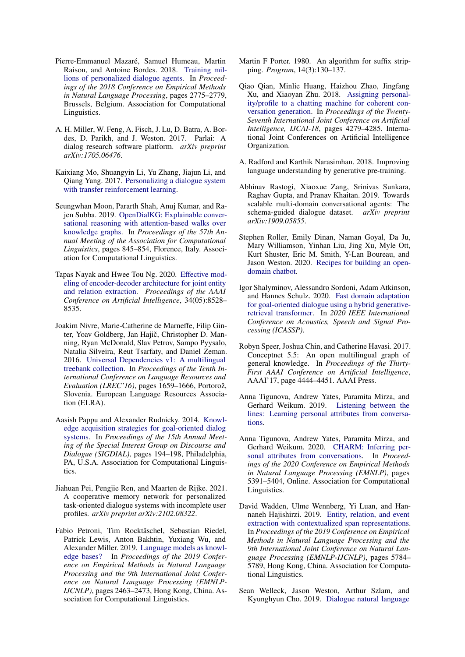- <span id="page-9-1"></span>Pierre-Emmanuel Mazaré, Samuel Humeau, Martin Raison, and Antoine Bordes. 2018. [Training mil](https://doi.org/10.18653/v1/D18-1298)[lions of personalized dialogue agents.](https://doi.org/10.18653/v1/D18-1298) In *Proceedings of the 2018 Conference on Empirical Methods in Natural Language Processing*, pages 2775–2779, Brussels, Belgium. Association for Computational Linguistics.
- <span id="page-9-18"></span>A. H. Miller, W. Feng, A. Fisch, J. Lu, D. Batra, A. Bordes, D. Parikh, and J. Weston. 2017. Parlai: A dialog research software platform. *arXiv preprint arXiv:1705.06476*.
- <span id="page-9-3"></span>Kaixiang Mo, Shuangyin Li, Yu Zhang, Jiajun Li, and Qiang Yang. 2017. [Personalizing a dialogue system](http://arxiv.org/abs/1610.02891) [with transfer reinforcement learning.](http://arxiv.org/abs/1610.02891)
- <span id="page-9-2"></span>Seungwhan Moon, Pararth Shah, Anuj Kumar, and Rajen Subba. 2019. [OpenDialKG: Explainable conver](https://doi.org/10.18653/v1/P19-1081)[sational reasoning with attention-based walks over](https://doi.org/10.18653/v1/P19-1081) [knowledge graphs.](https://doi.org/10.18653/v1/P19-1081) In *Proceedings of the 57th Annual Meeting of the Association for Computational Linguistics*, pages 845–854, Florence, Italy. Association for Computational Linguistics.
- <span id="page-9-7"></span>Tapas Nayak and Hwee Tou Ng. 2020. [Effective mod](https://doi.org/10.1609/aaai.v34i05.6374)[eling of encoder-decoder architecture for joint entity](https://doi.org/10.1609/aaai.v34i05.6374) [and relation extraction.](https://doi.org/10.1609/aaai.v34i05.6374) *Proceedings of the AAAI Conference on Artificial Intelligence*, 34(05):8528– 8535.
- <span id="page-9-8"></span>Joakim Nivre, Marie-Catherine de Marneffe, Filip Ginter, Yoav Goldberg, Jan Hajič, Christopher D. Manning, Ryan McDonald, Slav Petrov, Sampo Pyysalo, Natalia Silveira, Reut Tsarfaty, and Daniel Zeman. 2016. [Universal Dependencies v1: A multilingual](https://www.aclweb.org/anthology/L16-1262) [treebank collection.](https://www.aclweb.org/anthology/L16-1262) In *Proceedings of the Tenth International Conference on Language Resources and Evaluation (LREC'16)*, pages 1659–1666, Portorož, Slovenia. European Language Resources Association (ELRA).
- <span id="page-9-14"></span>Aasish Pappu and Alexander Rudnicky. 2014. [Knowl](https://doi.org/10.3115/v1/W14-4326)[edge acquisition strategies for goal-oriented dialog](https://doi.org/10.3115/v1/W14-4326) [systems.](https://doi.org/10.3115/v1/W14-4326) In *Proceedings of the 15th Annual Meeting of the Special Interest Group on Discourse and Dialogue (SIGDIAL)*, pages 194–198, Philadelphia, PA, U.S.A. Association for Computational Linguistics.
- <span id="page-9-4"></span>Jiahuan Pei, Pengjie Ren, and Maarten de Rijke. 2021. A cooperative memory network for personalized task-oriented dialogue systems with incomplete user profiles. *arXiv preprint arXiv:2102.08322*.
- <span id="page-9-10"></span>Fabio Petroni, Tim Rocktäschel, Sebastian Riedel, Patrick Lewis, Anton Bakhtin, Yuxiang Wu, and Alexander Miller. 2019. [Language models as knowl](https://doi.org/10.18653/v1/D19-1250)[edge bases?](https://doi.org/10.18653/v1/D19-1250) In *Proceedings of the 2019 Conference on Empirical Methods in Natural Language Processing and the 9th International Joint Conference on Natural Language Processing (EMNLP-IJCNLP)*, pages 2463–2473, Hong Kong, China. Association for Computational Linguistics.
- <span id="page-9-19"></span>Martin F Porter. 1980. An algorithm for suffix stripping. *Program*, 14(3):130–137.
- <span id="page-9-0"></span>Qiao Qian, Minlie Huang, Haizhou Zhao, Jingfang Xu, and Xiaoyan Zhu. 2018. [Assigning personal](https://doi.org/10.24963/ijcai.2018/595)[ity/profile to a chatting machine for coherent con](https://doi.org/10.24963/ijcai.2018/595)[versation generation.](https://doi.org/10.24963/ijcai.2018/595) In *Proceedings of the Twenty-Seventh International Joint Conference on Artificial Intelligence, IJCAI-18*, pages 4279–4285. International Joint Conferences on Artificial Intelligence Organization.
- <span id="page-9-17"></span>A. Radford and Karthik Narasimhan. 2018. Improving language understanding by generative pre-training.
- <span id="page-9-12"></span>Abhinav Rastogi, Xiaoxue Zang, Srinivas Sunkara, Raghav Gupta, and Pranav Khaitan. 2019. Towards scalable multi-domain conversational agents: The schema-guided dialogue dataset. *arXiv preprint arXiv:1909.05855*.
- <span id="page-9-11"></span>Stephen Roller, Emily Dinan, Naman Goyal, Da Ju, Mary Williamson, Yinhan Liu, Jing Xu, Myle Ott, Kurt Shuster, Eric M. Smith, Y-Lan Boureau, and Jason Weston. 2020. [Recipes for building an open](http://arxiv.org/abs/2004.13637)[domain chatbot.](http://arxiv.org/abs/2004.13637)
- <span id="page-9-13"></span>Igor Shalyminov, Alessandro Sordoni, Adam Atkinson, and Hannes Schulz. 2020. [Fast domain adaptation](https://www.microsoft.com/en-us/research/publication/fast-domain-adaptation-for-goal-oriented-dialogue-using-a-hybrid-generative-retrieval-transformer/) [for goal-oriented dialogue using a hybrid generative](https://www.microsoft.com/en-us/research/publication/fast-domain-adaptation-for-goal-oriented-dialogue-using-a-hybrid-generative-retrieval-transformer/)[retrieval transformer.](https://www.microsoft.com/en-us/research/publication/fast-domain-adaptation-for-goal-oriented-dialogue-using-a-hybrid-generative-retrieval-transformer/) In *2020 IEEE International Conference on Acoustics, Speech and Signal Processing (ICASSP)*.
- <span id="page-9-9"></span>Robyn Speer, Joshua Chin, and Catherine Havasi. 2017. Conceptnet 5.5: An open multilingual graph of general knowledge. In *Proceedings of the Thirty-First AAAI Conference on Artificial Intelligence*, AAAI'17, page 4444–4451. AAAI Press.
- <span id="page-9-15"></span>Anna Tigunova, Andrew Yates, Paramita Mirza, and Gerhard Weikum. 2019. [Listening between the](http://arxiv.org/abs/1904.10887) [lines: Learning personal attributes from conversa](http://arxiv.org/abs/1904.10887)[tions.](http://arxiv.org/abs/1904.10887)
- <span id="page-9-16"></span>Anna Tigunova, Andrew Yates, Paramita Mirza, and Gerhard Weikum. 2020. [CHARM: Inferring per](https://doi.org/10.18653/v1/2020.emnlp-main.434)[sonal attributes from conversations.](https://doi.org/10.18653/v1/2020.emnlp-main.434) In *Proceedings of the 2020 Conference on Empirical Methods in Natural Language Processing (EMNLP)*, pages 5391–5404, Online. Association for Computational Linguistics.
- <span id="page-9-6"></span>David Wadden, Ulme Wennberg, Yi Luan, and Hannaneh Hajishirzi. 2019. [Entity, relation, and event](https://doi.org/10.18653/v1/D19-1585) [extraction with contextualized span representations.](https://doi.org/10.18653/v1/D19-1585) In *Proceedings of the 2019 Conference on Empirical Methods in Natural Language Processing and the 9th International Joint Conference on Natural Language Processing (EMNLP-IJCNLP)*, pages 5784– 5789, Hong Kong, China. Association for Computational Linguistics.
- <span id="page-9-5"></span>Sean Welleck, Jason Weston, Arthur Szlam, and Kyunghyun Cho. 2019. [Dialogue natural language](https://doi.org/10.18653/v1/P19-1363)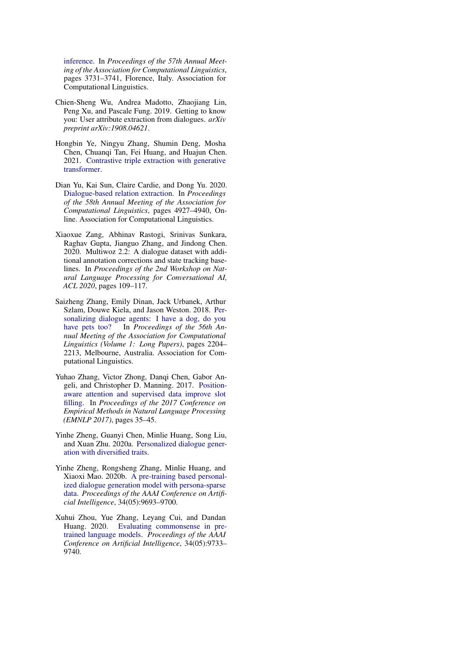[inference.](https://doi.org/10.18653/v1/P19-1363) In *Proceedings of the 57th Annual Meeting of the Association for Computational Linguistics*, pages 3731–3741, Florence, Italy. Association for Computational Linguistics.

- <span id="page-10-3"></span>Chien-Sheng Wu, Andrea Madotto, Zhaojiang Lin, Peng Xu, and Pascale Fung. 2019. Getting to know you: User attribute extraction from dialogues. *arXiv preprint arXiv:1908.04621*.
- <span id="page-10-7"></span>Hongbin Ye, Ningyu Zhang, Shumin Deng, Mosha Chen, Chuanqi Tan, Fei Huang, and Huajun Chen. 2021. [Contrastive triple extraction with generative](http://arxiv.org/abs/2009.06207) [transformer.](http://arxiv.org/abs/2009.06207)
- <span id="page-10-6"></span>Dian Yu, Kai Sun, Claire Cardie, and Dong Yu. 2020. [Dialogue-based relation extraction.](https://doi.org/10.18653/v1/2020.acl-main.444) In *Proceedings of the 58th Annual Meeting of the Association for Computational Linguistics*, pages 4927–4940, Online. Association for Computational Linguistics.
- <span id="page-10-8"></span>Xiaoxue Zang, Abhinav Rastogi, Srinivas Sunkara, Raghav Gupta, Jianguo Zhang, and Jindong Chen. 2020. Multiwoz 2.2: A dialogue dataset with additional annotation corrections and state tracking baselines. In *Proceedings of the 2nd Workshop on Natural Language Processing for Conversational AI, ACL 2020*, pages 109–117.
- <span id="page-10-2"></span>Saizheng Zhang, Emily Dinan, Jack Urbanek, Arthur Szlam, Douwe Kiela, and Jason Weston. 2018. [Per](https://doi.org/10.18653/v1/P18-1205)[sonalizing dialogue agents: I have a dog, do you](https://doi.org/10.18653/v1/P18-1205) [have pets too?](https://doi.org/10.18653/v1/P18-1205) In *Proceedings of the 56th Annual Meeting of the Association for Computational Linguistics (Volume 1: Long Papers)*, pages 2204– 2213, Melbourne, Australia. Association for Computational Linguistics.
- <span id="page-10-4"></span>Yuhao Zhang, Victor Zhong, Danqi Chen, Gabor Angeli, and Christopher D. Manning. 2017. [Position](https://nlp.stanford.edu/pubs/zhang2017tacred.pdf)[aware attention and supervised data improve slot](https://nlp.stanford.edu/pubs/zhang2017tacred.pdf) [filling.](https://nlp.stanford.edu/pubs/zhang2017tacred.pdf) In *Proceedings of the 2017 Conference on Empirical Methods in Natural Language Processing (EMNLP 2017)*, pages 35–45.
- <span id="page-10-0"></span>Yinhe Zheng, Guanyi Chen, Minlie Huang, Song Liu, and Xuan Zhu. 2020a. [Personalized dialogue gener](http://arxiv.org/abs/1901.09672)[ation with diversified traits.](http://arxiv.org/abs/1901.09672)
- <span id="page-10-1"></span>Yinhe Zheng, Rongsheng Zhang, Minlie Huang, and Xiaoxi Mao. 2020b. [A pre-training based personal](https://doi.org/10.1609/aaai.v34i05.6518)[ized dialogue generation model with persona-sparse](https://doi.org/10.1609/aaai.v34i05.6518) [data.](https://doi.org/10.1609/aaai.v34i05.6518) *Proceedings of the AAAI Conference on Artificial Intelligence*, 34(05):9693–9700.
- <span id="page-10-5"></span>Xuhui Zhou, Yue Zhang, Leyang Cui, and Dandan Huang. 2020. [Evaluating commonsense in pre](https://doi.org/10.1609/aaai.v34i05.6523)[trained language models.](https://doi.org/10.1609/aaai.v34i05.6523) *Proceedings of the AAAI Conference on Artificial Intelligence*, 34(05):9733– 9740.